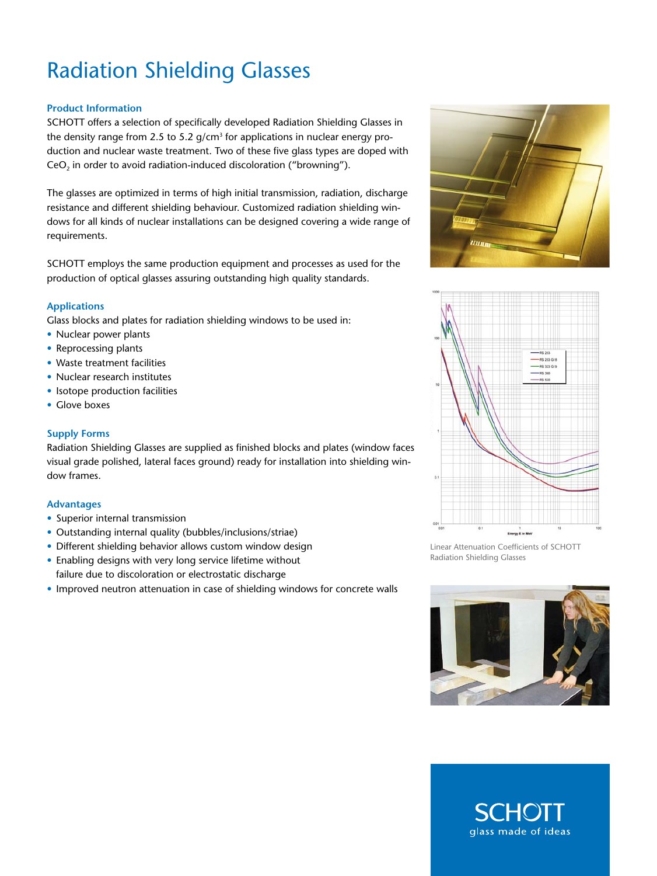# Radiation Shielding Glasses

## **Product Information**

SCHOTT offers a selection of specifically developed Radiation Shielding Glasses in the density range from 2.5 to 5.2  $g/cm<sup>3</sup>$  for applications in nuclear energy production and nuclear waste treatment. Two of these five glass types are doped with CeO<sub>2</sub> in order to avoid radiation-induced discoloration ("browning").

The glasses are optimized in terms of high initial transmission, radiation, discharge resistance and different shielding behaviour. Customized radiation shielding windows for all kinds of nuclear installations can be designed covering a wide range of requirements.

SCHOTT employs the same production equipment and processes as used for the production of optical glasses assuring outstanding high quality standards.

## **Applications**

Glass blocks and plates for radiation shielding windows to be used in:

- Nuclear power plants
- Reprocessing plants
- Waste treatment facilities
- Nuclear research institutes
- Isotope production facilities
- Glove boxes

#### **Supply Forms**

Radiation Shielding Glasses are supplied as finished blocks and plates (window faces visual grade polished, lateral faces ground) ready for installation into shielding window frames.

#### **Advantages**

- Superior internal transmission
- • Outstanding internal quality (bubbles/inclusions/striae)
- Different shielding behavior allows custom window design
- Enabling designs with very long service lifetime without failure due to discoloration or electrostatic discharge
- Improved neutron attenuation in case of shielding windows for concrete walls





Linear Attenuation Coefficients of SCHOTT Radiation Shielding Glasses



glass made of ideas